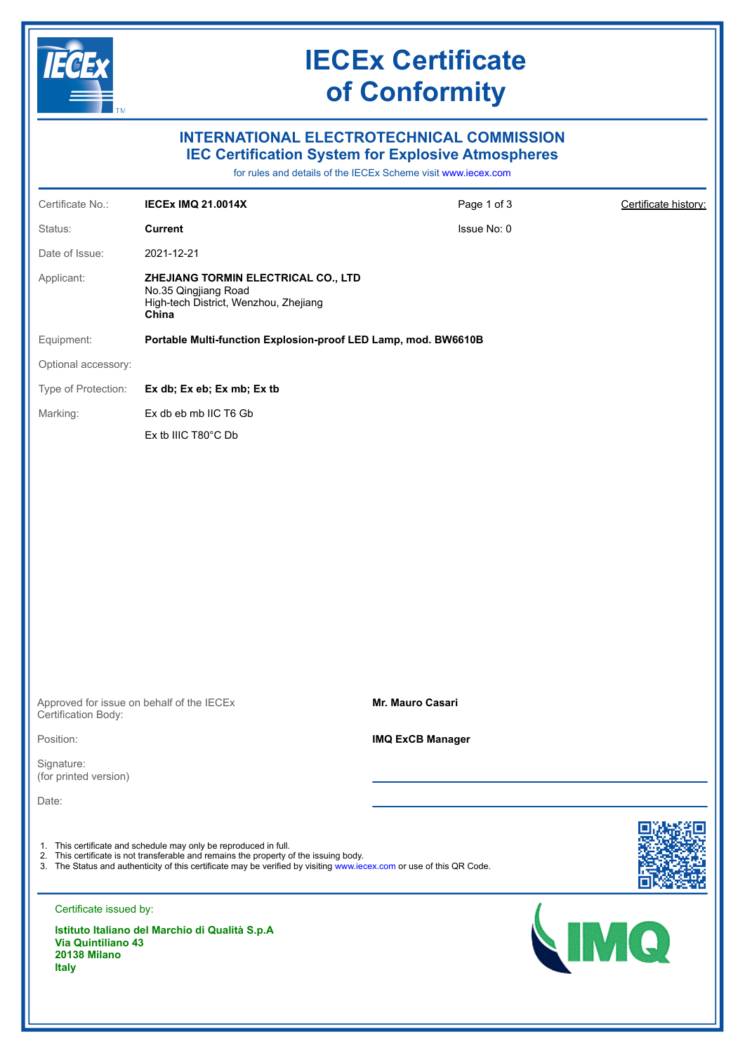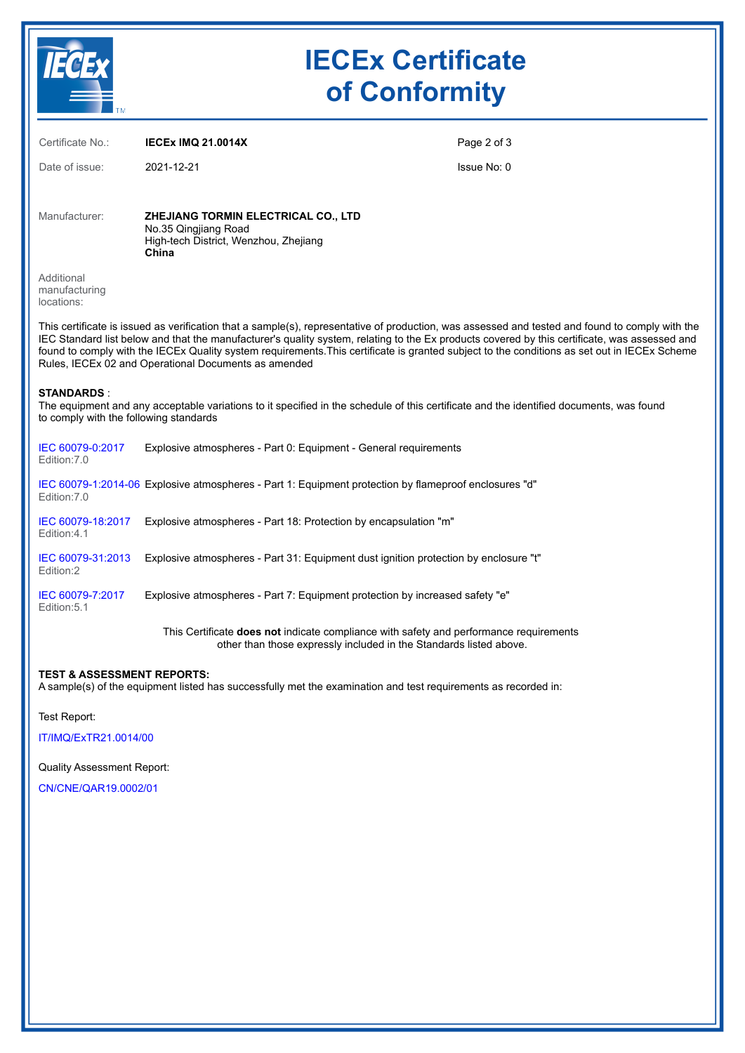

## **IECEx Certificate of Conformity**

| Certificate No.:                                                                                                                                                                                                                                                                                                                                                                                                                                                                                         | <b>IECEX IMQ 21.0014X</b>                                                                                     | Page 2 of 3 |
|----------------------------------------------------------------------------------------------------------------------------------------------------------------------------------------------------------------------------------------------------------------------------------------------------------------------------------------------------------------------------------------------------------------------------------------------------------------------------------------------------------|---------------------------------------------------------------------------------------------------------------|-------------|
| Date of issue:                                                                                                                                                                                                                                                                                                                                                                                                                                                                                           | 2021-12-21                                                                                                    | Issue No: 0 |
| Manufacturer:                                                                                                                                                                                                                                                                                                                                                                                                                                                                                            | ZHEJIANG TORMIN ELECTRICAL CO., LTD<br>No.35 Qingjiang Road<br>High-tech District, Wenzhou, Zhejiang<br>China |             |
| Additional<br>manufacturing<br>locations:                                                                                                                                                                                                                                                                                                                                                                                                                                                                |                                                                                                               |             |
| This certificate is issued as verification that a sample(s), representative of production, was assessed and tested and found to comply with the<br>IEC Standard list below and that the manufacturer's quality system, relating to the Ex products covered by this certificate, was assessed and<br>found to comply with the IECEx Quality system requirements. This certificate is granted subject to the conditions as set out in IECEx Scheme<br>Rules, IECEx 02 and Operational Documents as amended |                                                                                                               |             |
| <b>STANDARDS</b> :<br>The equipment and any acceptable variations to it specified in the schedule of this certificate and the identified documents, was found<br>to comply with the following standards                                                                                                                                                                                                                                                                                                  |                                                                                                               |             |
| IEC 60079-0:2017<br>Edition: 7.0                                                                                                                                                                                                                                                                                                                                                                                                                                                                         | Explosive atmospheres - Part 0: Equipment - General requirements                                              |             |
| Edition: 7.0                                                                                                                                                                                                                                                                                                                                                                                                                                                                                             | IEC 60079-1:2014-06 Explosive atmospheres - Part 1: Equipment protection by flameproof enclosures "d"         |             |
| IEC 60079-18:2017<br>Edition: 4.1                                                                                                                                                                                                                                                                                                                                                                                                                                                                        | Explosive atmospheres - Part 18: Protection by encapsulation "m"                                              |             |
| IEC 60079-31:2013<br>Edition:2                                                                                                                                                                                                                                                                                                                                                                                                                                                                           | Explosive atmospheres - Part 31: Equipment dust ignition protection by enclosure "t"                          |             |
| IEC 60079-7:2017<br>Edition: 5.1                                                                                                                                                                                                                                                                                                                                                                                                                                                                         | Explosive atmospheres - Part 7: Equipment protection by increased safety "e"                                  |             |
| This Certificate <b>does not</b> indicate compliance with safety and performance requirements<br>other than those expressly included in the Standards listed above.                                                                                                                                                                                                                                                                                                                                      |                                                                                                               |             |

## **TEST & ASSESSMENT REPORTS:**

A sample(s) of the equipment listed has successfully met the examination and test requirements as recorded in:

Test Report:

[IT/IMQ/ExTR21.0014/00](https://www.iecex-certs.com/#/deliverables/REPORT/79765/view)

Quality Assessment Report:

[CN/CNE/QAR19.0002/01](https://www.iecex-certs.com/#/deliverables/REPORT/68870/view)